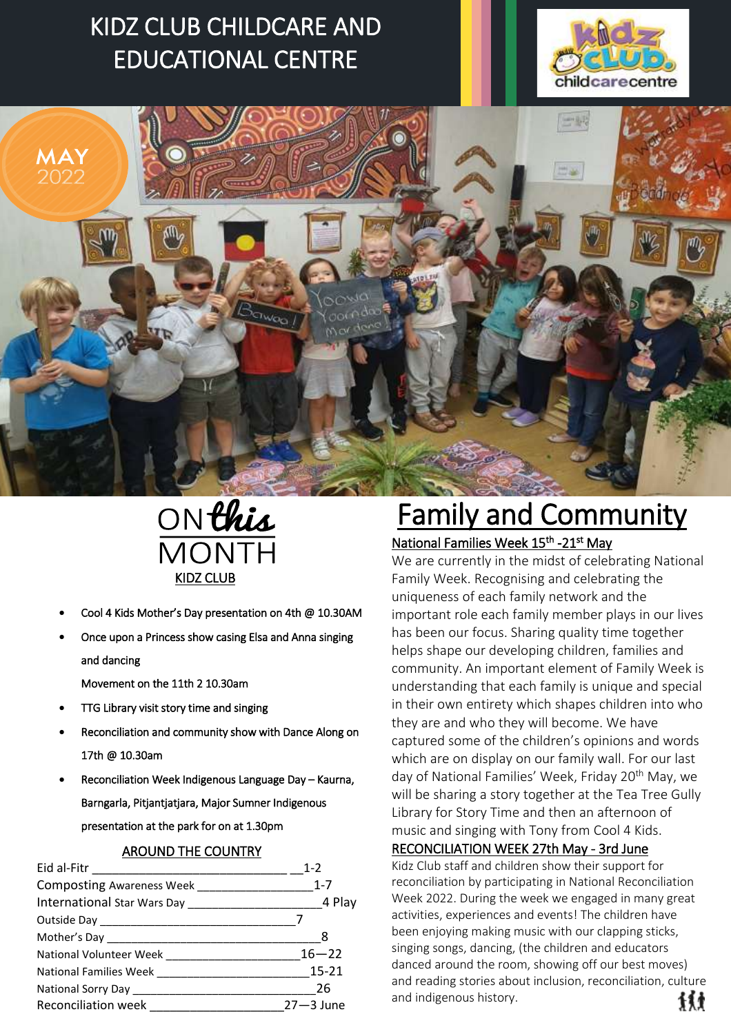# KIDZ CLUB CHILDCARE AND EDUCATIONAL CENTRE







- Cool 4 Kids Mother's Day presentation on 4th @ 10.30AM
- Once upon a Princess show casing Elsa and Anna singing and dancing

Movement on the 11th 2 10.30am

- TTG Library visit story time and singing
- Reconciliation and community show with Dance Along on 17th @ 10.30am
- Reconciliation Week Indigenous Language Day Kaurna, Barngarla, Pitjantjatjara, Major Sumner Indigenous presentation at the park for on at 1.30pm

## AROUND THE COUNTRY

|                     | $1 - 2$       |
|---------------------|---------------|
|                     |               |
|                     | 4 Play        |
|                     |               |
|                     | - 8           |
|                     |               |
|                     |               |
|                     |               |
| Reconciliation week | $27 - 3$ June |

# Family and Community

# National Families Week 15<sup>th</sup> -21<sup>st</sup> May

We are currently in the midst of celebrating National Family Week. Recognising and celebrating the uniqueness of each family network and the important role each family member plays in our lives has been our focus. Sharing quality time together helps shape our developing children, families and community. An important element of Family Week is understanding that each family is unique and special in their own entirety which shapes children into who they are and who they will become. We have captured some of the children's opinions and words which are on display on our family wall. For our last day of National Families' Week, Friday 20<sup>th</sup> May, we will be sharing a story together at the Tea Tree Gully Library for Story Time and then an afternoon of music and singing with Tony from Cool 4 Kids.

## RECONCILIATION WEEK 27th May - 3rd June

Kidz Club staff and children show their support for reconciliation by participating in National Reconciliation Week 2022. During the week we engaged in many great activities, experiences and events! The children have been enjoying making music with our clapping sticks, singing songs, dancing, (the children and educators danced around the room, showing off our best moves) and reading stories about inclusion, reconciliation, culture and indigenous history. 材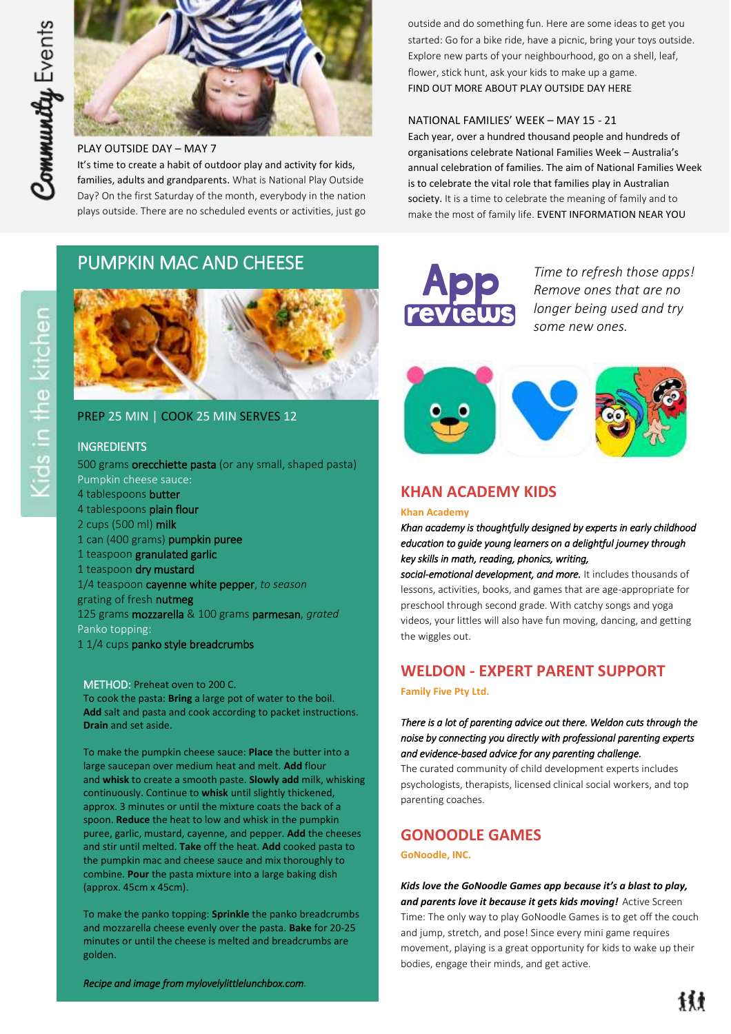

### PLAY OUTSIDE DAY – MAY 7

It's time to create a habit of outdoor play and activity for kids, families, adults and grandparents. What is National Play Outside Day? On the first Saturday of the month, everybody in the nation plays outside. There are no scheduled events or activities, just go

# PUMPKIN MAC AND CHEESE



## PREP 25 MIN | COOK 25 MIN SERVES 12

## INGREDIENTS

500 grams **orecchiette pasta** (or any small, shaped pasta) Pumpkin cheese sauce: 4 tablespoons butter 4 tablespoons plain flour 2 cups (500 ml) milk 1 can (400 grams) pumpkin puree 1 teaspoon granulated garlic 1 teaspoon dry mustard 1/4 teaspoon cayenne white pepper, *to season* grating of fresh nutmeg 125 grams mozzarella & 100 grams parmesan, *grated* Panko topping:

1 1/4 cups panko style breadcrumbs

#### METHOD: Preheat oven to 200 C.

To cook the pasta: **Bring** a large pot of water to the boil. **Add** salt and pasta and cook according to packet instructions. **Drain** and set aside.

To make the pumpkin cheese sauce: **Place** the butter into a large saucepan over medium heat and melt. **Add** flour and **whisk** to create a smooth paste. **Slowly add** milk, whisking continuously. Continue to **whisk** until slightly thickened, approx. 3 minutes or until the mixture coats the back of a spoon. **Reduce** the heat to low and whisk in the pumpkin puree, garlic, mustard, cayenne, and pepper. **Add** the cheeses and stir until melted. **Take** off the heat. **Add** cooked pasta to the pumpkin mac and cheese sauce and mix thoroughly to combine. **Pour** the pasta mixture into a large baking dish (approx. 45cm x 45cm).

To make the panko topping: **Sprinkle** the panko breadcrumbs and mozzarella cheese evenly over the pasta. **Bake** for 20-25 minutes or until the cheese is melted and breadcrumbs are golden.

*Recipe and image from mylovelylittlelunchbox.com.*

outside and do something fun. Here are some ideas to get you started: Go for a bike ride, have a picnic, bring your toys outside. Explore new parts of your neighbourhood, go on a shell, leaf, flower, stick hunt, ask your kids to make up a game. [FIND OUT MORE ABOUT PLAY OUTSIDE DAY HERE](http://playoutsideday.org/) 

### NATIONAL FAMILIES' WEEK – MAY 15 - 21

Each year, over a hundred thousand people and hundreds of organisations celebrate National Families Week – Australia's annual celebration of families. The aim of National Families Week is to celebrate the vital role that families play in Australian society. It is a time to celebrate the meaning of family and to make the most of family life. [EVENT INFORMATION NEAR YOU](https://nfw.org.au/)



*Time to refresh those apps! Remove ones that are no longer being used and try some new ones.* 



# **KHAN ACADEMY KIDS**

#### **Khan Academy**

*Khan academy is thoughtfully designed by experts in early childhood education to guide young learners on a delightful journey through key skills in math, reading, phonics, writing,* 

*social-emotional development, and more.* It includes thousands of lessons, activities, books, and games that are age-appropriate for preschool through second grade. With catchy songs and yoga videos, your littles will also have fun moving, dancing, and getting the wiggles out.

# **WELDON - EXPERT PARENT SUPPORT**

**Family Five Pty Ltd.**

### *There is a lot of parenting advice out there. Weldon cuts through the noise by connecting you directly with professional parenting experts and evidence-based advice for any parenting challenge.*

The curated community of child development experts includes psychologists, therapists, licensed clinical social workers, and top parenting coaches.

# **GONOODLE GAMES**

**GoNoodle, INC.**

*Kids love the GoNoodle Games app because it's a blast to play, and parents love it because it gets kids moving!* Active Screen Time: The only way to play GoNoodle Games is to get off the couch and jump, stretch, and pose! Since every mini game requires movement, playing is a great opportunity for kids to wake up their bodies, engage their minds, and get active.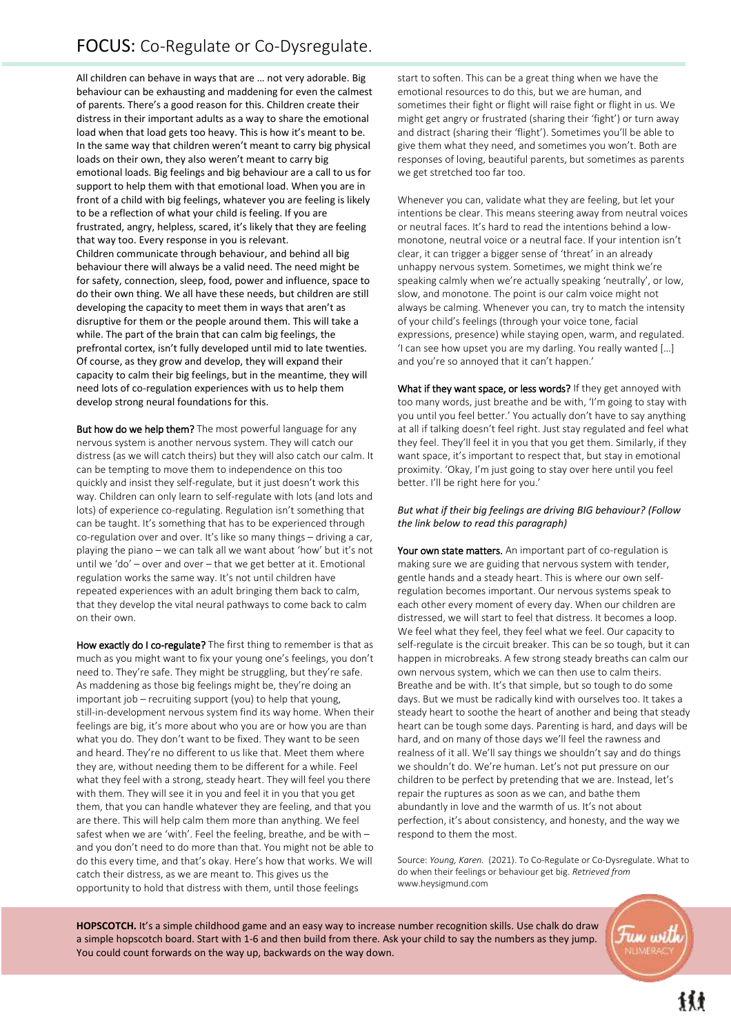All children can behave in ways that are … not very adorable. Big In the same way that children weren't meant to carry big<br>loads on their own, they also weren't meant to carry big support to neip them with that emotional load. When you are in<br>front of a child with big feelings, whatever you are feeling is likely to be a reflection of what your child is feeling. If you are behaviour can be exhausting and maddening for even the calmest of parents. There's a good reason for this. Children create their distress in their important adults as a way to share the emotional load when that load gets too heavy. This is how it's meant to be. In the same way that children weren't meant to carry big physical emotional loads. Big feelings and big behaviour are a call to us for support to help them with that emotional load. When you are in frustrated, angry, helpless, scared, it's likely that they are feeling that way too. Every response in you is relevant. Children communicate through behaviour, and behind all big behaviour there will always be a valid need. The need might be for safety, connection, sleep, food, power and influence, space to do their own thing. We all have these needs, but children are still developing the capacity to meet them in ways that aren't as disruptive for them or the people around them. This will take a while. The part of the brain that can calm big feelings, the prefrontal cortex, isn't fully developed until mid to late twenties. Of course, as they grow and develop, they will expand their capacity to calm their big feelings, but in the meantime, they will need lots of co-regulation experiences with us to help them develop strong neural foundations for this.

But how do we help them? The most powerful language for any nervous system is another nervous system. They will catch our distress (as we will catch theirs) but they will also catch our calm. It can be tempting to move them to independence on this too quickly and insist they self-regulate, but it just doesn't work this way. Children can only learn to self-regulate with lots (and lots and lots) of experience co-regulating. Regulation isn't something that can be taught. It's something that has to be experienced through co-regulation over and over. It's like so many things – driving a car, playing the piano – we can talk all we want about 'how' but it's not until we 'do' – over and over – that we get better at it. Emotional regulation works the same way. It's not until children have repeated experiences with an adult bringing them back to calm, that they develop the vital neural pathways to come back to calm on their own.

How exactly do I co-regulate? The first thing to remember is that as much as you might want to fix your young one's feelings, you don't need to. They're safe. They might be struggling, but they're safe. As maddening as those big feelings might be, they're doing an important job – recruiting support (you) to help that young, still-in-development nervous system find its way home. When their feelings are big, it's more about who you are or how you are than what you do. They don't want to be fixed. They want to be seen and heard. They're no different to us like that. Meet them where they are, without needing them to be different for a while. Feel what they feel with a strong, steady heart. They will feel you there with them. They will see it in you and feel it in you that you get them, that you can handle whatever they are feeling, and that you are there. This will help calm them more than anything. We feel safest when we are 'with'. Feel the feeling, breathe, and be with – and you don't need to do more than that. You might not be able to do this every time, and that's okay. Here's how that works. We will catch their distress, as we are meant to. This gives us the opportunity to hold that distress with them, until those feelings

start to soften. This can be a great thing when we have the emotional resources to do this, but we are human, and sometimes their fight or flight will raise fight or flight in us. We might get angry or frustrated (sharing their 'fight') or turn away and distract (sharing their 'flight'). Sometimes you'll be able to give them what they need, and sometimes you won't. Both are responses of loving, beautiful parents, but sometimes as parents we get stretched too far too.

Whenever you can, validate what they are feeling, but let your intentions be clear. This means steering away from neutral voices or neutral faces. It's hard to read the intentions behind a lowmonotone, neutral voice or a neutral face. If your intention isn't clear, it can trigger a bigger sense of 'threat' in an already unhappy nervous system. Sometimes, we might think we're speaking calmly when we're actually speaking 'neutrally', or low, slow, and monotone. The point is our calm voice might not always be calming. Whenever you can, try to match the intensity of your child's feelings (through your voice tone, facial expressions, presence) while staying open, warm, and regulated. 'I can see how upset you are my darling. You really wanted […] and you're so annoyed that it can't happen.'

What if they want space, or less words? If they get annoyed with too many words, just breathe and be with, 'I'm going to stay with you until you feel better.' You actually don't have to say anything at all if talking doesn't feel right. Just stay regulated and feel what they feel. They'll feel it in you that you get them. Similarly, if they want space, it's important to respect that, but stay in emotional proximity. 'Okay, I'm just going to stay over here until you feel better. I'll be right here for you.'

### *But what if their big feelings are driving BIG behaviour? (Follow the link below to read this paragraph)*

Your own state matters. An important part of co-regulation is making sure we are guiding that nervous system with tender, gentle hands and a steady heart. This is where our own selfregulation becomes important. Our nervous systems speak to each other every moment of every day. When our children are distressed, we will start to feel that distress. It becomes a loop. We feel what they feel, they feel what we feel. Our capacity to self-regulate is the circuit breaker. This can be so tough, but it can happen in microbreaks. A few strong steady breaths can calm our own nervous system, which we can then use to calm theirs. Breathe and be with. It's that simple, but so tough to do some days. But we must be radically kind with ourselves too. It takes a steady heart to soothe the heart of another and being that steady heart can be tough some days. Parenting is hard, and days will be hard, and on many of those days we'll feel the rawness and realness of it all. We'll say things we shouldn't say and do things we shouldn't do. We're human. Let's not put pressure on our children to be perfect by pretending that we are. Instead, let's repair the ruptures as soon as we can, and bathe them abundantly in love and the warmth of us. It's not about perfection, it's about consistency, and honesty, and the way we respond to them the most.

Source: *Young, Karen.* (2021). To Co-Regulate or Co-Dysregulate. What to do when their feelings or behaviour get big. *Retrieved from*  [www.heysigmund.com](https://www.heysigmund.com/to-co-regulate-or-co-dysregulate-what-to-do-when-their-feelings-and-behaviour-get-big/)

**HOPSCOTCH.** It's a simple childhood game and an easy way to increase number recognition skills. Use chalk do draw a simple hopscotch board. Start with 1-6 and then build from there. Ask your child to say the numbers as they jump. You could count forwards on the way up, backwards on the way down.

un witt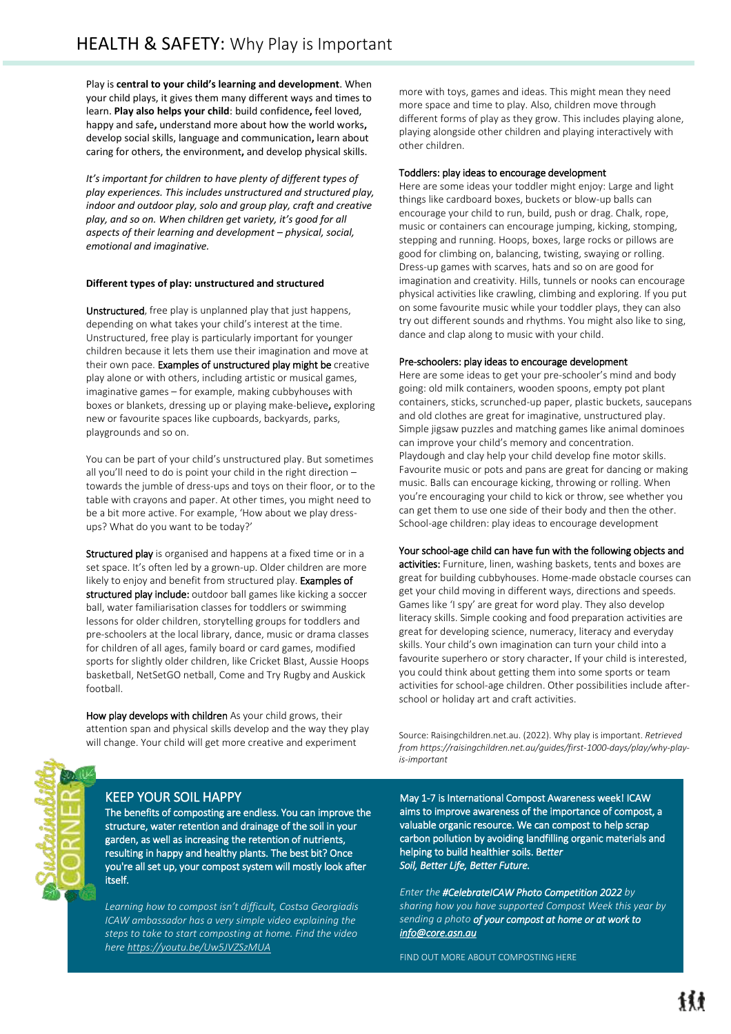I

Play is **central to your child's learning and development**. When your child plays, it gives them many different ways and times to learn. **Play also helps your child**: build confidence**,** feel loved, happy and safe**,** understand more about how the world works**,**  develop social skills, language and communication**,** learn about caring for others, the environment**,** and develop physical skills.

*It's important for children to have plenty of different types of play experiences. This includes unstructured and structured play, indoor and outdoor play, solo and group play, craft and creative play, and so on. When children get variety, it's good for all aspects of their learning and development – physical, social, emotional and imaginative.*

#### **Different types of play: unstructured and structured**

Unstructured, free play is unplanned play that just happens, depending on what takes your child's interest at the time. Unstructured, free play is particularly important for younger children because it lets them use their imagination and move at their own pace. Examples of unstructured play might be creative play alone or with others, including artistic or musical games, imaginative games – for example, making cubbyhouses with boxes or blankets, dressing up or playing make-believe**,** exploring new or favourite spaces like cupboards, backyards, parks, playgrounds and so on.

You can be part of your child's unstructured play. But sometimes all you'll need to do is point your child in the right direction – towards the jumble of dress-ups and toys on their floor, or to the table with crayons and paper. At other times, you might need to be a bit more active. For example, 'How about we play dressups? What do you want to be today?'

Structured play is organised and happens at a fixed time or in a set space. It's often led by a grown-up. Older children are more likely to enjoy and benefit from structured play. Examples of structured play include: outdoor ball games like kicking a soccer ball, water familiarisation classes for toddlers or swimming lessons for older children, storytelling groups for toddlers and pre-schoolers at the local library, dance, music or drama classes for children of all ages, family board or card games, modified sports for slightly older children, like Cricket Blast, Aussie Hoops basketball, NetSetGO netball, Come and Try Rugby and Auskick football.

How play develops with children As your child grows, their attention span and physical skills develop and the way they play will change. Your child will get more creative and experiment

more with toys, games and ideas. This might mean they need more space and time to play. Also, children move through different forms of play as they grow. This includes playing alone, playing alongside other children and playing interactively with other children.

#### Toddlers: play ideas to encourage development

Here are some ideas your toddler might enjoy: Large and light things like cardboard boxes, buckets or blow-up balls can encourage your child to run, build, push or drag. Chalk, rope, music or containers can encourage jumping, kicking, stomping, stepping and running. Hoops, boxes, large rocks or pillows are good for climbing on, balancing, twisting, swaying or rolling. Dress-up games with scarves, hats and so on are good for imagination and creativity. Hills, tunnels or nooks can encourage physical activities like crawling, climbing and exploring. If you put on some favourite music while your toddler plays, they can also try out different sounds and rhythms. You might also like to sing, dance and clap along to music with your child.

#### Pre-schoolers: play ideas to encourage development

Here are some ideas to get your pre-schooler's mind and body going: old milk containers, wooden spoons, empty pot plant containers, sticks, scrunched-up paper, plastic buckets, saucepans and old clothes are great for imaginative, unstructured play. Simple jigsaw puzzles and matching games like animal dominoes can improve your child's memory and concentration. Playdough and clay help your child develop fine motor skills. Favourite music or pots and pans are great for dancing or making music. Balls can encourage kicking, throwing or rolling. When you're encouraging your child to kick or throw, see whether you can get them to use one side of their body and then the other. School-age children: play ideas to encourage development

Your school-age child can have fun with the following objects and

activities: Furniture, linen, washing baskets, tents and boxes are great for building cubbyhouses. Home-made obstacle courses can get your child moving in different ways, directions and speeds. Games like 'I spy' are great for word play. They also develop literacy skills. Simple cooking and food preparation activities are great for developing science, numeracy, literacy and everyday skills. Your child's own imagination can turn your child into a favourite superhero or story character. If your child is interested, you could think about getting them into some sports or team activities for school-age children. Other possibilities include afterschool or holiday art and craft activities.

Source: Raisingchildren.net.au. (2022). Why play is important. *Retrieved from https://raisingchildren.net.au/guides/first-1000-days/play/why-playis-important*

### KEEP YOUR SOIL HAPPY

The benefits of composting are endless. You can improve the structure, water retention and drainage of the soil in your garden, as well as increasing the retention of nutrients, resulting in happy and healthy plants. The best bit? Once you're all set up, your compost system will mostly look after itself.

*Learning how to compost isn't difficult, Costsa Georgiadis ICAW ambassador has a very simple video explaining the steps to take to start composting at home. Find the video her[e https://youtu.be/Uw5JVZSzMUA](https://youtu.be/Uw5JVZSzMUA)*

May 1-7 is International Compost Awareness week! ICAW aims to improve awareness of the importance of compost, a valuable organic resource. We can compost to help scrap carbon pollution by avoiding landfilling organic materials and helping to build healthier soils. B*etter Soil, Better Life, Better Future.*

*Enter the #CelebrateICAW Photo Competition 2022 by sharing how you have supported Compost Week this year by sending a photo of your compost at home or at work to [info@core.asn.au](mailto:info@core.asn.au)*

[FIND OUT MORE ABOUT COMPOSTING HERE](https://www.compostweek.com.au/)